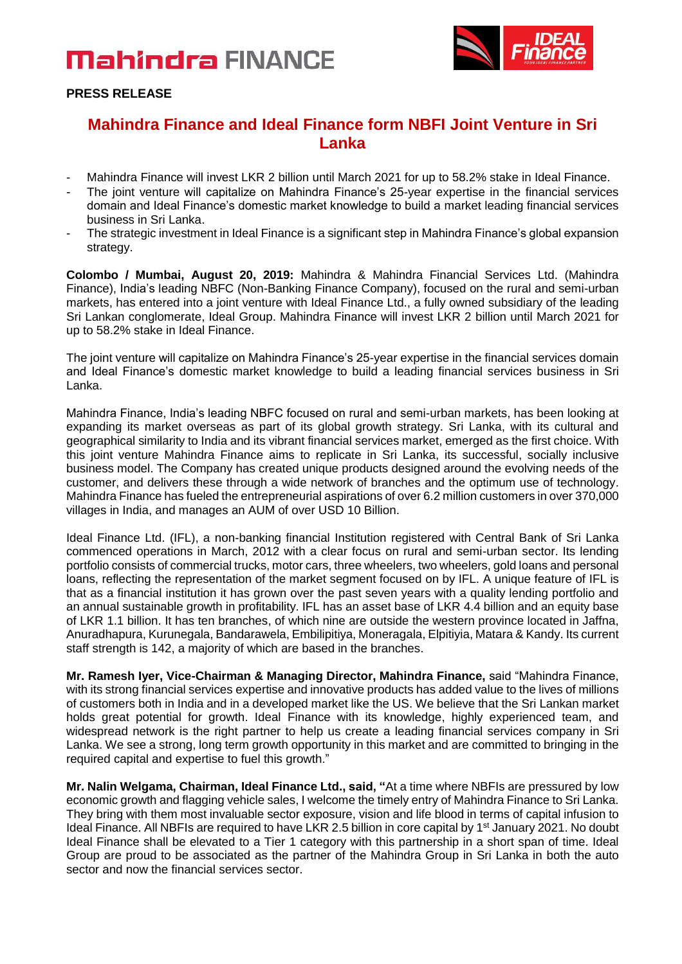# **Mahindra FINANCE**



**PRESS RELEASE**

### **Mahindra Finance and Ideal Finance form NBFI Joint Venture in Sri Lanka**

- Mahindra Finance will invest LKR 2 billion until March 2021 for up to 58.2% stake in Ideal Finance.
- The joint venture will capitalize on Mahindra Finance's 25-year expertise in the financial services domain and Ideal Finance's domestic market knowledge to build a market leading financial services business in Sri Lanka.
- The strategic investment in Ideal Finance is a significant step in Mahindra Finance's global expansion strategy.

**Colombo / Mumbai, August 20, 2019:** Mahindra & Mahindra Financial Services Ltd. (Mahindra Finance), India's leading NBFC (Non-Banking Finance Company), focused on the rural and semi-urban markets, has entered into a joint venture with Ideal Finance Ltd., a fully owned subsidiary of the leading Sri Lankan conglomerate, Ideal Group. Mahindra Finance will invest LKR 2 billion until March 2021 for up to 58.2% stake in Ideal Finance.

The joint venture will capitalize on Mahindra Finance's 25-year expertise in the financial services domain and Ideal Finance's domestic market knowledge to build a leading financial services business in Sri Lanka.

Mahindra Finance, India's leading NBFC focused on rural and semi-urban markets, has been looking at expanding its market overseas as part of its global growth strategy. Sri Lanka, with its cultural and geographical similarity to India and its vibrant financial services market, emerged as the first choice. With this joint venture Mahindra Finance aims to replicate in Sri Lanka, its successful, socially inclusive business model. The Company has created unique products designed around the evolving needs of the customer, and delivers these through a wide network of branches and the optimum use of technology. Mahindra Finance has fueled the entrepreneurial aspirations of over 6.2 million customers in over 370,000 villages in India, and manages an AUM of over USD 10 Billion.

Ideal Finance Ltd. (IFL), a non-banking financial Institution registered with Central Bank of Sri Lanka commenced operations in March, 2012 with a clear focus on rural and semi-urban sector. Its lending portfolio consists of commercial trucks, motor cars, three wheelers, two wheelers, gold loans and personal loans, reflecting the representation of the market segment focused on by IFL. A unique feature of IFL is that as a financial institution it has grown over the past seven years with a quality lending portfolio and an annual sustainable growth in profitability. IFL has an asset base of LKR 4.4 billion and an equity base of LKR 1.1 billion. It has ten branches, of which nine are outside the western province located in Jaffna, Anuradhapura, Kurunegala, Bandarawela, Embilipitiya, Moneragala, Elpitiyia, Matara & Kandy. Its current staff strength is 142, a majority of which are based in the branches.

**Mr. Ramesh Iyer, Vice-Chairman & Managing Director, Mahindra Finance,** said "Mahindra Finance, with its strong financial services expertise and innovative products has added value to the lives of millions of customers both in India and in a developed market like the US. We believe that the Sri Lankan market holds great potential for growth. Ideal Finance with its knowledge, highly experienced team, and widespread network is the right partner to help us create a leading financial services company in Sri Lanka. We see a strong, long term growth opportunity in this market and are committed to bringing in the required capital and expertise to fuel this growth."

**Mr. Nalin Welgama, Chairman, Ideal Finance Ltd., said, "**At a time where NBFIs are pressured by low economic growth and flagging vehicle sales, I welcome the timely entry of Mahindra Finance to Sri Lanka. They bring with them most invaluable sector exposure, vision and life blood in terms of capital infusion to Ideal Finance. All NBFIs are required to have LKR 2.5 billion in core capital by 1<sup>st</sup> January 2021. No doubt Ideal Finance shall be elevated to a Tier 1 category with this partnership in a short span of time. Ideal Group are proud to be associated as the partner of the Mahindra Group in Sri Lanka in both the auto sector and now the financial services sector.